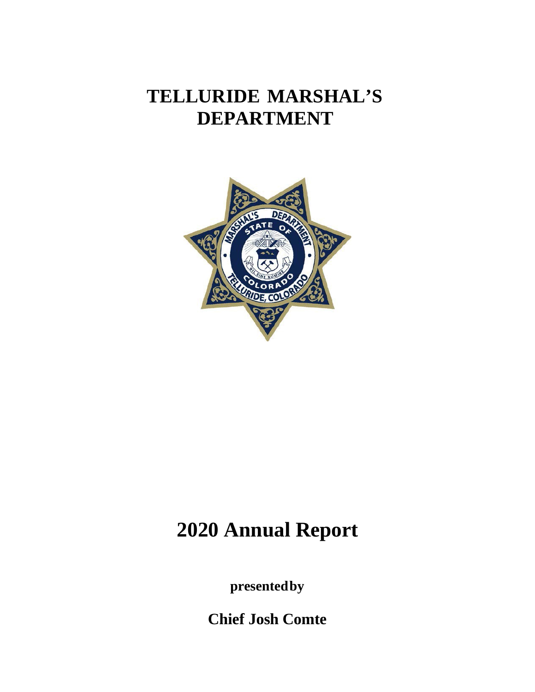# **TELLURIDE MARSHAL'S DEPARTMENT**



# **2020 Annual Report**

**presented by**

**Chief Josh Comte**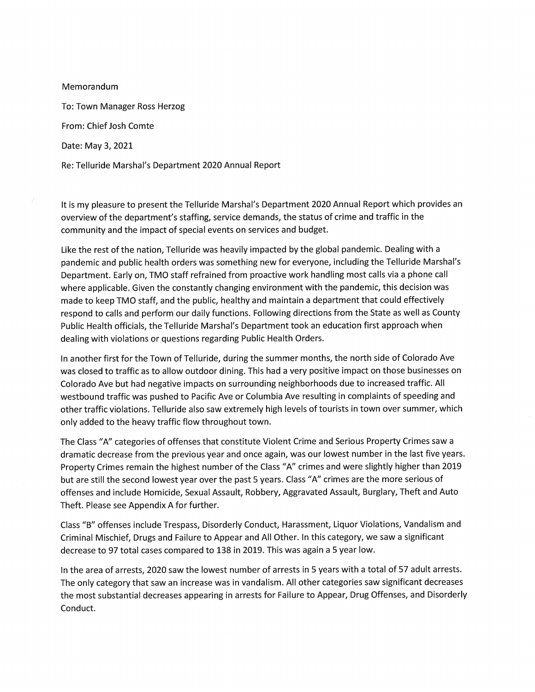Memorandum To: Town Manager Ross Herzog From: Chief Josh Comte Date: May 3, 2021 Re: Telluride Marshal's Department 2020 Annual Report

It is my pleasure to present the Telluride Marshal's Department 2020 Annual Report which provides an overview of the department's staffing, service demands, the status of crime and traffic in the community and the impact of special events on services and budget.

Like the rest of the nation, Telluride was heavily impacted by the global pandemic. Dealing with a pandemic and public health orders was something new for everyone, including the Telluride Marshal's Department. Early on, TMO staff refrained from proactive work handling most calls via a phone call where applicable. Given the constantly changing environment with the pandemic, this decision was made to keep TMO staff, and the public, healthy and maintain a department that could effectively respond to calls and perform our daily functions. Following directions from the State as well as County Public Health officials, the Telluride Marshal's Department took an education first approach when dealing with violations or questions regarding Public Health Orders.

In another first for the Town of Telluride, during the summer months, the north side of Colorado Ave was closed to traffic as to allow outdoor dining. This had a very positive impact on those businesses on Colorado Ave but had negative impacts on surrounding neighborhoods due to increased traffic. All westbound traffic was pushed to Pacific Ave or Columbia Ave resulting in complaints of speeding and other traffic violations. Telluride also saw extremely high levels of tourists in town over summer, which only added to the heavy traffic flow throughout town.

The Class "A" categories of offenses that constitute Violent Crime and Serious Property Crimes saw a dramatic decrease from the previous year and once again, was our lowest number in the last five years. Property Crimes remain the highest number of the Class "A" crimes and were slightly higher than 2019 but are still the second lowest year over the past 5 years. Class "A" crimes are the more serious of offenses and include Homicide, Sexual Assault, Robbery, Aggravated Assault, Burglary, Theft and Auto Theft. Please see Appendix A for further.

Class "B" offenses include Trespass, Disorderly Conduct, Harassment, Liquor Violations, Vandalism and Criminal Mischief, Drugs and Failure to Appear and All Other. In this category, we saw a significant decrease to 97 total cases compared to 138 in 2019. This was again a 5 year low.

In the area of arrests, 2020 saw the lowest number of arrests in 5 years with a total of 57 adult arrests. The only category that saw an increase was in vandalism. All other categories saw significant decreases the most substantial decreases appearing in arrests for Failure to Appear, Drug Offenses, and Disorderly Conduct.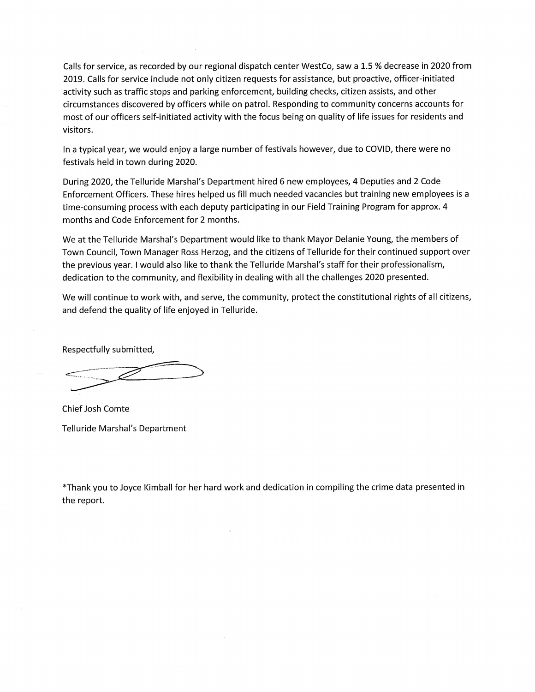Calls for service, as recorded by our regional dispatch center WestCo, saw a 1.5 % decrease in 2020 from 2019. Calls for service include not only citizen requests for assistance, but proactive, officer-initiated activity such as traffic stops and parking enforcement, building checks, citizen assists, and other circumstances discovered by officers while on patrol. Responding to community concerns accounts for most of our officers self-initiated activity with the focus being on quality of life issues for residents and visitors.

In a typical year, we would enjoy a large number of festivals however, due to COVID, there were no festivals held in town during 2020.

During 2020, the Telluride Marshal's Department hired 6 new employees, 4 Deputies and 2 Code Enforcement Officers. These hires helped us fill much needed vacancies but training new employees is a time-consuming process with each deputy participating in our Field Training Program for approx. 4 months and Code Enforcement for 2 months.

We at the Telluride Marshal's Department would like to thank Mayor Delanie Young, the members of Town Council, Town Manager Ross Herzog, and the citizens of Telluride for their continued support over the previous year. I would also like to thank the Telluride Marshal's staff for their professionalism, dedication to the community, and flexibility in dealing with all the challenges 2020 presented.

We will continue to work with, and serve, the community, protect the constitutional rights of all citizens, and defend the quality of life enjoyed in Telluride.

Respectfully submitted,

Chief Josh Comte Telluride Marshal's Department

\*Thank you to Joyce Kimball for her hard work and dedication in compiling the crime data presented in the report.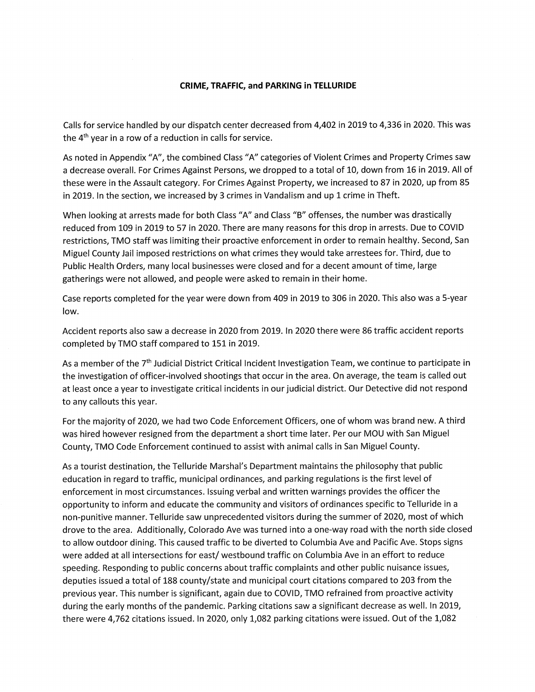#### CRIME, TRAFFIC, and PARKING in TELLURIDE

Calls for service handled by our dispatch center decreased from 4,402 in 2019 to 4,336 in 2020. This was the 4<sup>th</sup> year in a row of a reduction in calls for service.

As noted in Appendix "A", the combined Class "A" categories of Violent Crimes and Property Crimes saw a decrease overall. For Crimes Against Persons, we dropped to a total of 10, down from 16 in 2019. All of these were in the Assault category. For Crimes Against Property, we increased to 87 in 2020, up from 85 in 2019. In the section, we increased by 3 crimes in Vandalism and up 1 crime in Theft.

When looking at arrests made for both Class "A" and Class "B" offenses, the number was drastically reduced from 109 in 2019 to 57 in 2020. There are many reasons for this drop in arrests. Due to COVID restrictions, TMO staff was limiting their proactive enforcement in order to remain healthy. Second, San Miguel County Jail imposed restrictions on what crimes they would take arrestees for. Third, due to Public Health Orders, many local businesses were closed and for a decent amount of time, large gatherings were not allowed, and people were asked to remain in their home.

Case reports completed for the year were down from 409 in 2019 to 306 in 2020. This also was a 5-year low.

Accident reports also saw a decrease in 2020 from 2019. In 2020 there were 86 traffic accident reports completed by TMO staff compared to 151 in 2019.

As a member of the 7<sup>th</sup> Judicial District Critical Incident Investigation Team, we continue to participate in the investigation of officer-involved shootings that occur in the area. On average, the team is called out at least once a year to investigate critical incidents in our judicial district. Our Detective did not respond to any callouts this year.

For the majority of 2020, we had two Code Enforcement Officers, one of whom was brand new. A third was hired however resigned from the department a short time later. Per our MOU with San Miguel County, TMO Code Enforcement continued to assist with animal calls in San Miguel County.

As a tourist destination, the Telluride Marshal's Department maintains the philosophy that public education in regard to traffic, municipal ordinances, and parking regulations is the first level of enforcement in most circumstances. Issuing verbal and written warnings provides the officer the opportunity to inform and educate the community and visitors of ordinances specific to Telluride in a non-punitive manner. Telluride saw unprecedented visitors during the summer of 2020, most of which drove to the area. Additionally, Colorado Ave was turned into a one-way road with the north side closed to allow outdoor dining. This caused traffic to be diverted to Columbia Ave and Pacific Ave. Stops signs were added at all intersections for east/westbound traffic on Columbia Ave in an effort to reduce speeding. Responding to public concerns about traffic complaints and other public nuisance issues, deputies issued a total of 188 county/state and municipal court citations compared to 203 from the previous year. This number is significant, again due to COVID, TMO refrained from proactive activity during the early months of the pandemic. Parking citations saw a significant decrease as well. In 2019, there were 4,762 citations issued. In 2020, only 1,082 parking citations were issued. Out of the 1,082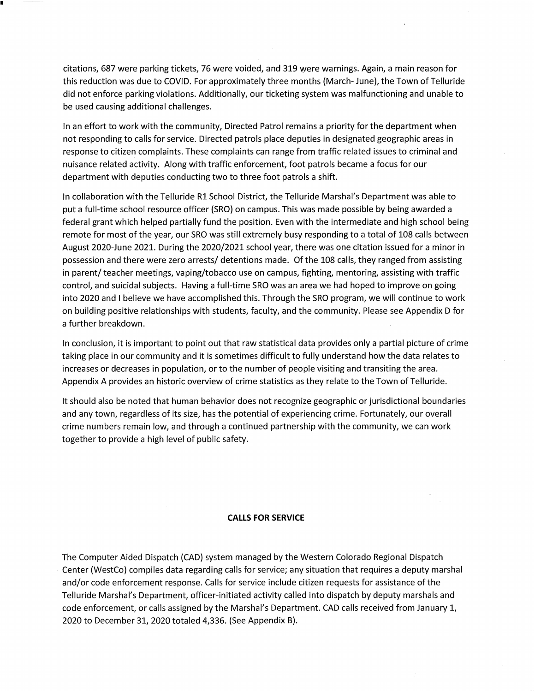citations, 687 were parking tickets, 76 were voided, and 319 were warnings. Again, a main reason for this reduction was due to COVID. For approximately three months (March-June), the Town of Telluride did not enforce parking violations. Additionally, our ticketing system was malfunctioning and unable to be used causing additional challenges.

In an effort to work with the community, Directed Patrol remains a priority for the department when not responding to calls for service. Directed patrols place deputies in designated geographic areas in response to citizen complaints. These complaints can range from traffic related issues to criminal and nuisance related activity. Along with traffic enforcement, foot patrols became a focus for our department with deputies conducting two to three foot patrols a shift.

In collaboration with the Telluride R1 School District, the Telluride Marshal's Department was able to put a full-time school resource officer (SRO) on campus. This was made possible by being awarded a federal grant which helped partially fund the position. Even with the intermediate and high school being remote for most of the year, our SRO was still extremely busy responding to a total of 108 calls between August 2020-June 2021. During the 2020/2021 school year, there was one citation issued for a minor in possession and there were zero arrests/ detentions made. Of the 108 calls, they ranged from assisting in parent/ teacher meetings, vaping/tobacco use on campus, fighting, mentoring, assisting with traffic control, and suicidal subjects. Having a full-time SRO was an area we had hoped to improve on going into 2020 and I believe we have accomplished this. Through the SRO program, we will continue to work on building positive relationships with students, faculty, and the community. Please see Appendix D for a further breakdown.

In conclusion, it is important to point out that raw statistical data provides only a partial picture of crime taking place in our community and it is sometimes difficult to fully understand how the data relates to increases or decreases in population, or to the number of people visiting and transiting the area. Appendix A provides an historic overview of crime statistics as they relate to the Town of Telluride.

It should also be noted that human behavior does not recognize geographic or jurisdictional boundaries and any town, regardless of its size, has the potential of experiencing crime. Fortunately, our overall crime numbers remain low, and through a continued partnership with the community, we can work together to provide a high level of public safety.

#### **CALLS FOR SERVICE**

The Computer Aided Dispatch (CAD) system managed by the Western Colorado Regional Dispatch Center (WestCo) compiles data regarding calls for service; any situation that requires a deputy marshal and/or code enforcement response. Calls for service include citizen requests for assistance of the Telluride Marshal's Department, officer-initiated activity called into dispatch by deputy marshals and code enforcement, or calls assigned by the Marshal's Department. CAD calls received from January 1, 2020 to December 31, 2020 totaled 4,336. (See Appendix B).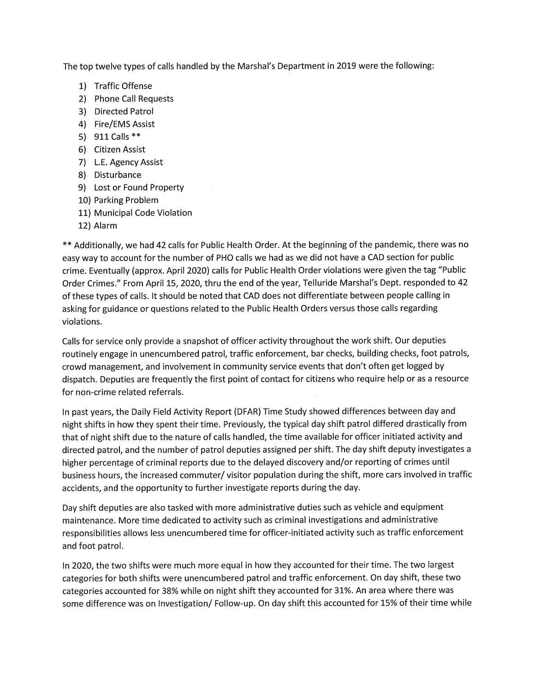The top twelve types of calls handled by the Marshal's Department in 2019 were the following:

- 1) Traffic Offense
- 2) Phone Call Requests
- 3) Directed Patrol
- 4) Fire/EMS Assist
- 5) 911 Calls \*\*
- 6) Citizen Assist
- 7) L.E. Agency Assist
- 8) Disturbance
- 9) Lost or Found Property
- 10) Parking Problem
- 11) Municipal Code Violation
- 12) Alarm

\*\* Additionally, we had 42 calls for Public Health Order. At the beginning of the pandemic, there was no easy way to account for the number of PHO calls we had as we did not have a CAD section for public crime. Eventually (approx. April 2020) calls for Public Health Order violations were given the tag "Public Order Crimes." From April 15, 2020, thru the end of the year, Telluride Marshal's Dept. responded to 42 of these types of calls. It should be noted that CAD does not differentiate between people calling in asking for guidance or questions related to the Public Health Orders versus those calls regarding violations.

Calls for service only provide a snapshot of officer activity throughout the work shift. Our deputies routinely engage in unencumbered patrol, traffic enforcement, bar checks, building checks, foot patrols, crowd management, and involvement in community service events that don't often get logged by dispatch. Deputies are frequently the first point of contact for citizens who require help or as a resource for non-crime related referrals.

In past years, the Daily Field Activity Report (DFAR) Time Study showed differences between day and night shifts in how they spent their time. Previously, the typical day shift patrol differed drastically from that of night shift due to the nature of calls handled, the time available for officer initiated activity and directed patrol, and the number of patrol deputies assigned per shift. The day shift deputy investigates a higher percentage of criminal reports due to the delayed discovery and/or reporting of crimes until business hours, the increased commuter/ visitor population during the shift, more cars involved in traffic accidents, and the opportunity to further investigate reports during the day.

Day shift deputies are also tasked with more administrative duties such as vehicle and equipment maintenance. More time dedicated to activity such as criminal investigations and administrative responsibilities allows less unencumbered time for officer-initiated activity such as traffic enforcement and foot patrol.

In 2020, the two shifts were much more equal in how they accounted for their time. The two largest categories for both shifts were unencumbered patrol and traffic enforcement. On day shift, these two categories accounted for 38% while on night shift they accounted for 31%. An area where there was some difference was on Investigation/ Follow-up. On day shift this accounted for 15% of their time while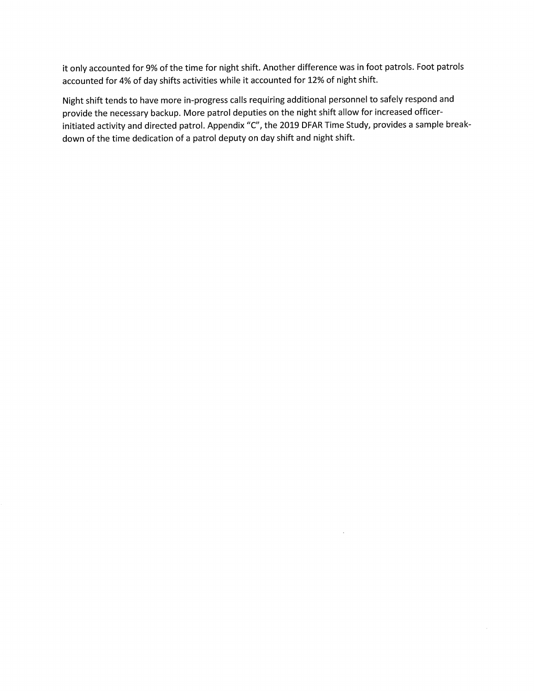it only accounted for 9% of the time for night shift. Another difference was in foot patrols. Foot patrols accounted for 4% of day shifts activities while it accounted for 12% of night shift.

Night shift tends to have more in-progress calls requiring additional personnel to safely respond and provide the necessary backup. More patrol deputies on the night shift allow for increased officerinitiated activity and directed patrol. Appendix "C", the 2019 DFAR Time Study, provides a sample breakdown of the time dedication of a patrol deputy on day shift and night shift.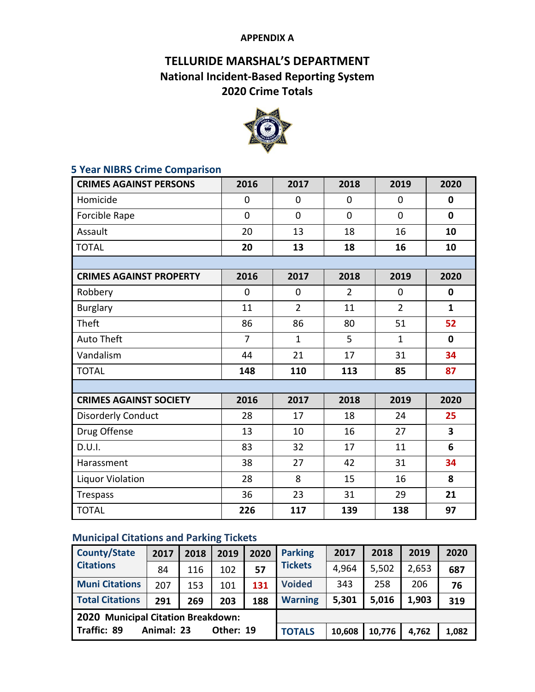### **APPENDIX A**

# **TELLURIDE MARSHAL'S DEPARTMENT National Incident-Based Reporting System 2020 Crime Totals**



## **5 Year NIBRS Crime Comparison**

| <b>CRIMES AGAINST PERSONS</b>  | 2016           | 2017           | 2018           | 2019           | 2020         |
|--------------------------------|----------------|----------------|----------------|----------------|--------------|
| Homicide                       | $\overline{0}$ | $\overline{0}$ | 0              | $\overline{0}$ | $\mathbf{0}$ |
| Forcible Rape                  | $\mathbf 0$    | $\overline{0}$ | 0              | $\overline{0}$ | $\mathbf 0$  |
| Assault                        | 20             | 13             | 18             | 16             | 10           |
| <b>TOTAL</b>                   | 20             | 13             | 18             | 16             | 10           |
|                                |                |                |                |                |              |
| <b>CRIMES AGAINST PROPERTY</b> | 2016           | 2017           | 2018           | 2019           | 2020         |
| Robbery                        | 0              | $\mathbf 0$    | $\overline{2}$ | 0              | $\mathbf 0$  |
| <b>Burglary</b>                | 11             | $\overline{2}$ | 11             | $\overline{2}$ | $\mathbf{1}$ |
| Theft                          | 86             | 86             | 80             | 51             | 52           |
| <b>Auto Theft</b>              | $\overline{7}$ | $\mathbf{1}$   | 5              | $\mathbf{1}$   | $\mathbf 0$  |
| Vandalism                      | 44             | 21             | 17             | 31             | 34           |
| <b>TOTAL</b>                   | 148            | 110            | 113            | 85             | 87           |
|                                |                |                |                |                |              |
| <b>CRIMES AGAINST SOCIETY</b>  | 2016           | 2017           | 2018           | 2019           | 2020         |
| <b>Disorderly Conduct</b>      | 28             | 17             | 18             | 24             | 25           |
| Drug Offense                   | 13             | 10             | 16             | 27             | 3            |
| D.U.I.                         | 83             | 32             | 17             | 11             | 6            |
| Harassment                     | 38             | 27             | 42             | 31             | 34           |
| <b>Liquor Violation</b>        | 28             | 8              | 15             | 16             | 8            |
| Trespass                       | 36             | 23             | 31             | 29             | 21           |
| <b>TOTAL</b>                   | 226            | 117            | 139            | 138            | 97           |

# **Municipal Citations and Parking Tickets**

| <b>County/State</b>                | 2017       | 2018 | 2019      | 2020 | <b>Parking</b> | 2017   | 2018   | 2019  | 2020  |
|------------------------------------|------------|------|-----------|------|----------------|--------|--------|-------|-------|
| <b>Citations</b>                   | 84         | 116  | 102       | 57   | <b>Tickets</b> | 4,964  | 5,502  | 2,653 | 687   |
| <b>Muni Citations</b>              | 207        | 153  | 101       | 131  | <b>Voided</b>  | 343    | 258    | 206   | 76    |
| <b>Total Citations</b>             | 291        | 269  | 203       | 188  | <b>Warning</b> | 5,301  | 5,016  | 1,903 | 319   |
| 2020 Municipal Citation Breakdown: |            |      |           |      |                |        |        |       |       |
| Traffic: 89                        | Animal: 23 |      | Other: 19 |      | <b>TOTALS</b>  | 10,608 | 10,776 | 4,762 | 1,082 |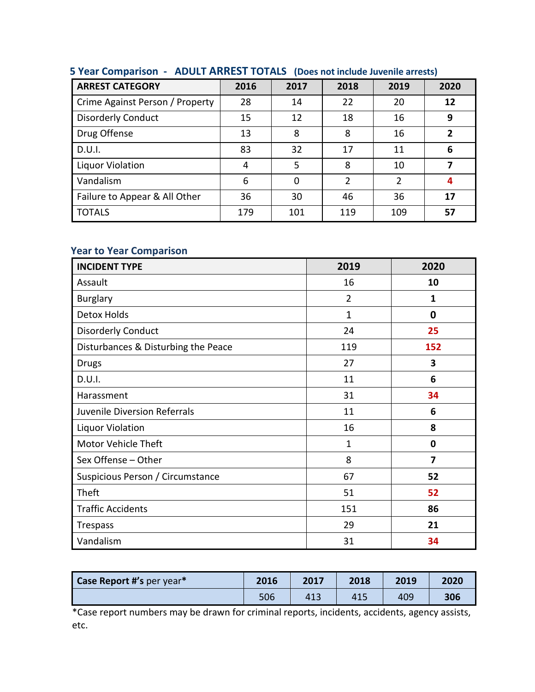| <b>ARREST CATEGORY</b>          | 2016 | 2017     | 2018          | 2019           | 2020 |
|---------------------------------|------|----------|---------------|----------------|------|
| Crime Against Person / Property | 28   | 14       | 22            | 20             | 12   |
| <b>Disorderly Conduct</b>       | 15   | 12       | 18            | 16             | 9    |
| Drug Offense                    | 13   | 8        | 8             | 16             | 2    |
| D.U.I.                          | 83   | 32       | 17            | 11             | 6    |
| <b>Liquor Violation</b>         | 4    | 5        | 8             | 10             |      |
| Vandalism                       | 6    | $\Omega$ | $\mathfrak z$ | $\overline{2}$ | 4    |
| Failure to Appear & All Other   | 36   | 30       | 46            | 36             | 17   |
| <b>TOTALS</b>                   | 179  | 101      | 119           | 109            | 57   |

## **5 Year Comparison - ADULT ARREST TOTALS (Does not include Juvenile arrests)**

## **Year to Year Comparison**

| <b>INCIDENT TYPE</b>                | 2019           | 2020 |
|-------------------------------------|----------------|------|
| Assault                             | 16             | 10   |
| <b>Burglary</b>                     | $\overline{2}$ | 1    |
| <b>Detox Holds</b>                  | $\mathbf 1$    | 0    |
| <b>Disorderly Conduct</b>           | 24             | 25   |
| Disturbances & Disturbing the Peace | 119            | 152  |
| <b>Drugs</b>                        | 27             | 3    |
| D.U.I.                              | 11             | 6    |
| Harassment                          | 31             | 34   |
| Juvenile Diversion Referrals        | 11             | 6    |
| <b>Liquor Violation</b>             | 16             | 8    |
| <b>Motor Vehicle Theft</b>          | 1              | 0    |
| Sex Offense - Other                 | 8              | 7    |
| Suspicious Person / Circumstance    | 67             | 52   |
| Theft                               | 51             | 52   |
| <b>Traffic Accidents</b>            | 151            | 86   |
| <b>Trespass</b>                     | 29             | 21   |
| Vandalism                           | 31             | 34   |

| Case Report #'s per year* | 2016 | 2017 | 2018 | 2019 | 2020 |
|---------------------------|------|------|------|------|------|
|                           | 506  | 413  | 415  | 409  | 306  |

\*Case report numbers may be drawn for criminal reports, incidents, accidents, agency assists, etc.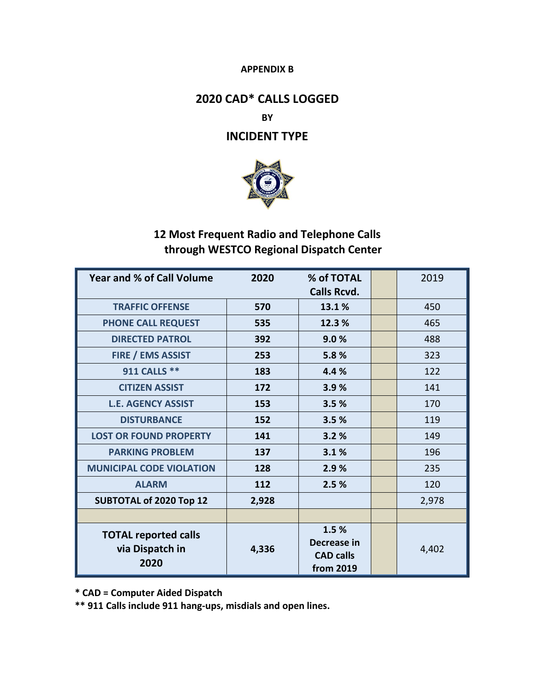#### **APPENDIX B**

# **2020 CAD\* CALLS LOGGED**

### **BY**

## **INCIDENT TYPE**



# **12 Most Frequent Radio and Telephone Calls through WESTCO Regional Dispatch Center**

| <b>Year and % of Call Volume</b> | 2020  | % of TOTAL<br><b>Calls Rcvd.</b> | 2019  |
|----------------------------------|-------|----------------------------------|-------|
| <b>TRAFFIC OFFENSE</b>           | 570   | 13.1%                            | 450   |
| <b>PHONE CALL REQUEST</b>        | 535   | 12.3%                            | 465   |
| <b>DIRECTED PATROL</b>           | 392   | 9.0%                             | 488   |
| <b>FIRE / EMS ASSIST</b>         | 253   | 5.8%                             | 323   |
| 911 CALLS **                     | 183   | 4.4%                             | 122   |
| <b>CITIZEN ASSIST</b>            | 172   | 3.9%                             | 141   |
| <b>L.E. AGENCY ASSIST</b>        | 153   | 3.5%                             | 170   |
| <b>DISTURBANCE</b>               | 152   | 3.5%                             | 119   |
| <b>LOST OR FOUND PROPERTY</b>    | 141   | 3.2%                             | 149   |
| <b>PARKING PROBLEM</b>           | 137   | 3.1%                             | 196   |
| <b>MUNICIPAL CODE VIOLATION</b>  | 128   | 2.9%                             | 235   |
| <b>ALARM</b>                     | 112   | 2.5%                             | 120   |
| <b>SUBTOTAL of 2020 Top 12</b>   | 2,928 |                                  | 2,978 |
|                                  |       |                                  |       |
| <b>TOTAL reported calls</b>      |       | 1.5%                             |       |
| via Dispatch in                  | 4,336 | Decrease in                      | 4,402 |
| 2020                             |       | <b>CAD calls</b><br>from 2019    |       |

 **\* CAD = Computer Aided Dispatch** 

 **\*\* 911 Calls include 911 hang-ups, misdials and open lines.**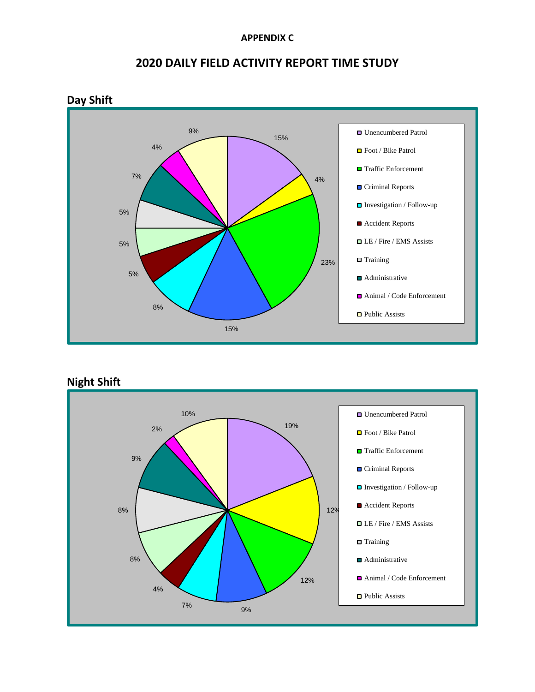#### **APPENDIX C**



# **2020 DAILY FIELD ACTIVITY REPORT TIME STUDY**

**Night Shift** 

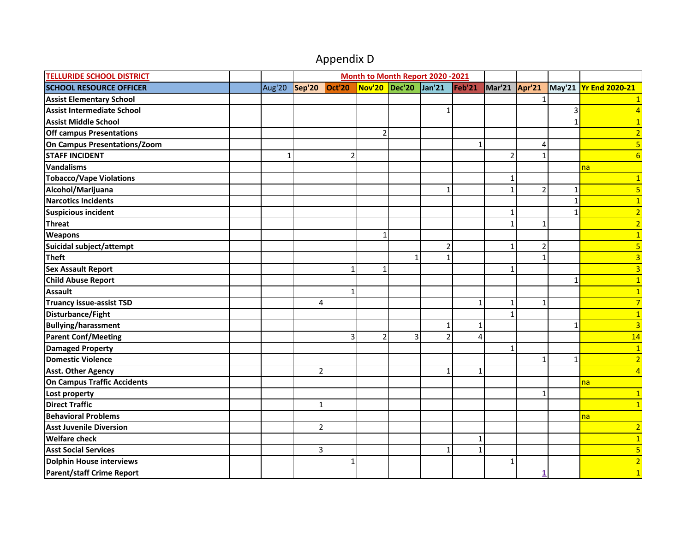# Appendix D

| <b>TELLURIDE SCHOOL DISTRICT</b> |              |                          |                | Month to Month Report 2020 -2021 |              |                |              |                |                |              |                       |
|----------------------------------|--------------|--------------------------|----------------|----------------------------------|--------------|----------------|--------------|----------------|----------------|--------------|-----------------------|
| <b>SCHOOL RESOURCE OFFICER</b>   |              | Aug'20   Sep'20   Oct'20 |                | Nov'20 Dec'20 Jan'21             |              |                | Feb'21       | Mar'21 Apr'21  |                |              | May'21 Yr End 2020-21 |
| <b>Assist Elementary School</b>  |              |                          |                |                                  |              |                |              |                |                |              |                       |
| Assist Intermediate School       |              |                          |                |                                  |              | $\mathbf{1}$   |              |                |                | 3            | $\vert$ 4             |
| <b>Assist Middle School</b>      |              |                          |                |                                  |              |                |              |                |                | $\mathbf{1}$ | 1                     |
| <b>Off campus Presentations</b>  |              |                          |                | $\overline{2}$                   |              |                |              |                |                |              | $\overline{2}$        |
| On Campus Presentations/Zoom     |              |                          |                |                                  |              |                | $\mathbf{1}$ |                | 4              |              | 5                     |
| <b>STAFF INCIDENT</b>            | $\mathbf{1}$ |                          | $\overline{2}$ |                                  |              |                |              | $\overline{2}$ | $\mathbf{1}$   |              | 6                     |
| Vandalisms                       |              |                          |                |                                  |              |                |              |                |                |              | na                    |
| <b>Tobacco/Vape Violations</b>   |              |                          |                |                                  |              |                |              | $\mathbf{1}$   |                |              |                       |
| Alcohol/Marijuana                |              |                          |                |                                  |              | $\mathbf{1}$   |              | $\mathbf{1}$   | $\overline{2}$ | $\mathbf 1$  |                       |
| <b>Narcotics Incidents</b>       |              |                          |                |                                  |              |                |              |                |                | $\mathbf{1}$ |                       |
| <b>Suspicious incident</b>       |              |                          |                |                                  |              |                |              | 1              |                | $\mathbf{1}$ | $\overline{2}$        |
| <b>Threat</b>                    |              |                          |                |                                  |              |                |              | $\mathbf{1}$   | $\mathbf{1}$   |              | $\overline{2}$        |
| <b>Weapons</b>                   |              |                          |                | $\mathbf{1}$                     |              |                |              |                |                |              | $\mathbf{1}$          |
| Suicidal subject/attempt         |              |                          |                |                                  |              | $\overline{2}$ |              | $\mathbf{1}$   | $\mathbf 2$    |              | 5                     |
| <b>Theft</b>                     |              |                          |                |                                  | $\mathbf{1}$ | 1              |              |                | $\mathbf{1}$   |              | $\overline{3}$        |
| <b>Sex Assault Report</b>        |              |                          | $\mathbf{1}$   | $\mathbf{1}$                     |              |                |              | $\mathbf{1}$   |                |              | 3                     |
| <b>Child Abuse Report</b>        |              |                          |                |                                  |              |                |              |                |                | $\mathbf{1}$ | $\mathbf{1}$          |
| <b>Assault</b>                   |              |                          | $\mathbf{1}$   |                                  |              |                |              |                |                |              | $\mathbf{1}$          |
| <b>Truancy issue-assist TSD</b>  |              | 4                        |                |                                  |              |                | $\mathbf{1}$ | $\mathbf{1}$   | $\mathbf{1}$   |              |                       |
| Disturbance/Fight                |              |                          |                |                                  |              |                |              | 1              |                |              |                       |
| <b>Bullying/harassment</b>       |              |                          |                |                                  |              | $\overline{1}$ | $\mathbf{1}$ |                |                | $\mathbf{1}$ | 3                     |
| <b>Parent Conf/Meeting</b>       |              |                          | 3              | $\overline{2}$                   | 3            | $\overline{2}$ | 4            |                |                |              | 14                    |
| <b>Damaged Property</b>          |              |                          |                |                                  |              |                |              | $\mathbf{1}$   |                |              | $\overline{1}$        |
| Domestic Violence                |              |                          |                |                                  |              |                |              |                | 1              | $\mathbf{1}$ | $\overline{2}$        |
| <b>Asst. Other Agency</b>        |              | $\overline{2}$           |                |                                  |              | $\mathbf{1}$   | $\mathbf{1}$ |                |                |              | $\overline{4}$        |
| On Campus Traffic Accidents      |              |                          |                |                                  |              |                |              |                |                |              | na                    |
| Lost property                    |              |                          |                |                                  |              |                |              |                | 1              |              | $\mathbf{1}$          |
| <b>Direct Traffic</b>            |              | $\mathbf{1}$             |                |                                  |              |                |              |                |                |              | $\vert$ 1             |
| <b>Behavioral Problems</b>       |              |                          |                |                                  |              |                |              |                |                |              | na                    |
| <b>Asst Juvenile Diversion</b>   |              | $\overline{2}$           |                |                                  |              |                |              |                |                |              | $\overline{2}$        |
| <b>Welfare check</b>             |              |                          |                |                                  |              |                | 1            |                |                |              | $\mathbf{1}$          |
| <b>Asst Social Services</b>      |              | 3                        |                |                                  |              | $\mathbf{1}$   | $\mathbf{1}$ |                |                |              | 5                     |
| Dolphin House interviews         |              |                          | $\mathbf{1}$   |                                  |              |                |              | $\mathbf{1}$   |                |              | $\overline{2}$        |
| <b>Parent/staff Crime Report</b> |              |                          |                |                                  |              |                |              |                |                |              |                       |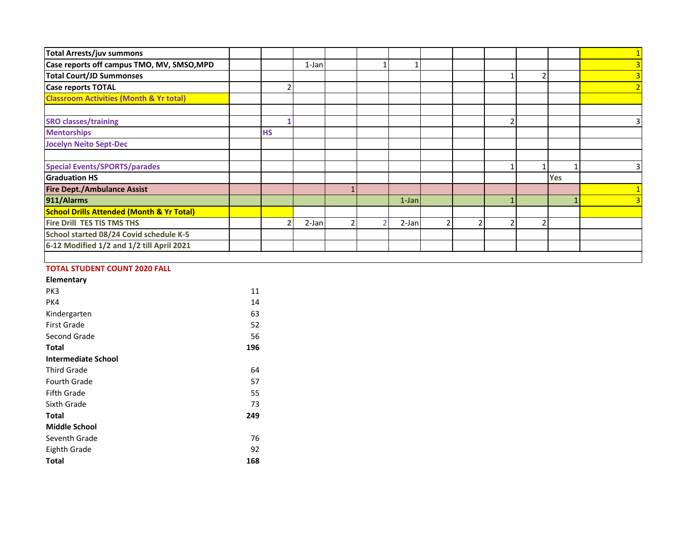| Total Arrests/juv summons                            |           |       |                |          |  |  |            |   |
|------------------------------------------------------|-----------|-------|----------------|----------|--|--|------------|---|
| Case reports off campus TMO, MV, SMSO, MPD           |           | 1-Jan |                |          |  |  |            |   |
| <b>Total Court/JD Summonses</b>                      |           |       |                |          |  |  |            |   |
| <b>Case reports TOTAL</b>                            | 2         |       |                |          |  |  |            |   |
| <b>Classroom Activities (Month &amp; Yr total)</b>   |           |       |                |          |  |  |            |   |
|                                                      |           |       |                |          |  |  |            |   |
| <b>SRO classes/training</b>                          |           |       |                |          |  |  |            | 3 |
| <b>Mentorships</b>                                   | <b>HS</b> |       |                |          |  |  |            |   |
| <b>Jocelyn Neito Sept-Dec</b>                        |           |       |                |          |  |  |            |   |
|                                                      |           |       |                |          |  |  |            |   |
| <b>Special Events/SPORTS/parades</b>                 |           |       |                |          |  |  |            | 3 |
| <b>Graduation HS</b>                                 |           |       |                |          |  |  | <b>Yes</b> |   |
| <b>Fire Dept./Ambulance Assist</b>                   |           |       |                |          |  |  |            |   |
| 911/Alarms                                           |           |       |                | $1$ -Jan |  |  |            |   |
| <b>School Drills Attended (Month &amp; Yr Total)</b> |           |       |                |          |  |  |            |   |
| Fire Drill TES TIS TMS THS                           |           | 2-Jan | $\overline{2}$ | $2-Jan$  |  |  |            |   |
| School started 08/24 Covid schedule K-5              |           |       |                |          |  |  |            |   |
| 6-12 Modified 1/2 and 1/2 till April 2021            |           |       |                |          |  |  |            |   |
|                                                      |           |       |                |          |  |  |            |   |

# **TOTAL STUDENT COUNT 2020 FALL**

| Elementary   |    |
|--------------|----|
| PK3          | 11 |
| PK4          | 14 |
| Kindergarten | 63 |

| Kindergarten               | 63  |
|----------------------------|-----|
| <b>First Grade</b>         | 52  |
| Second Grade               | 56  |
| Total                      | 196 |
| <b>Intermediate School</b> |     |
| <b>Third Grade</b>         | 64  |
| <b>Fourth Grade</b>        | 57  |
| <b>Fifth Grade</b>         | 55  |
| Sixth Grade                | 73  |
| Total                      | 249 |
| <b>Middle School</b>       |     |
| Seventh Grade              | 76  |
| Eighth Grade               | 92  |
| Total                      | 168 |
|                            |     |